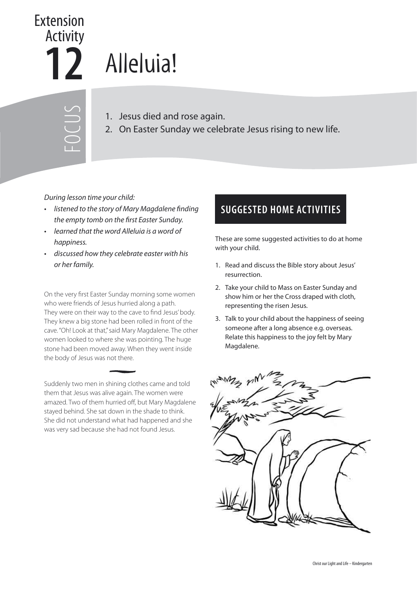## **12** Extension Activity

## Alleluia!

FOCUS

- 1. Jesus died and rose again.
- 2. On Easter Sunday we celebrate Jesus rising to new life.

During lesson time your child:

- listened to the story of Mary Magdalene finding the empty tomb on the first Easter Sunday.
- learned that the word Alleluia is a word of happiness.
- discussed how they celebrate easter with his or her family.

On the very first Easter Sunday morning some women who were friends of Jesus hurried along a path. They were on their way to the cave to find Jesus' body. They knew a big stone had been rolled in front of the cave. "Oh! Look at that," said Mary Magdalene. The other women looked to where she was pointing. The huge stone had been moved away. When they went inside the body of Jesus was not there.

Suddenly two men in shining clothes came and told them that Jesus was alive again. The women were amazed. Two of them hurried off, but Mary Magdalene stayed behind. She sat down in the shade to think. She did not understand what had happened and she was very sad because she had not found Jesus.

## **SUGGESTED HOME ACTIVITIES**

These are some suggested activities to do at home with your child.

- 1. Read and discuss the Bible story about Jesus' resurrection.
- 2. Take your child to Mass on Easter Sunday and show him or her the Cross draped with cloth, representing the risen Jesus.
- 3. Talk to your child about the happiness of seeing someone after a long absence e.g. overseas. Relate this happiness to the joy felt by Mary Magdalene.